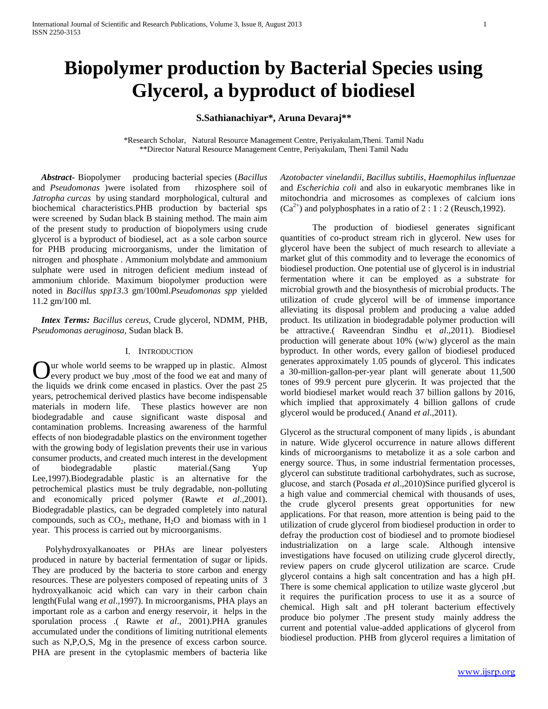# **Biopolymer production by Bacterial Species using Glycerol, a byproduct of biodiesel**

**S.Sathianachiyar\*, Aruna Devaraj\*\***

\*Research Scholar, Natural Resource Management Centre, Periyakulam,Theni. Tamil Nadu \*\*Director Natural Resource Management Centre, Periyakulam, Theni Tamil Nadu

 *Abstract-* Biopolymer producing bacterial species (*Bacillus* and *Pseudomonas* )were isolated from rhizosphere soil of *Jatropha curcas* by using standard morphological, cultural and biochemical characteristics.PHB production by bacterial sps were screened by Sudan black B staining method. The main aim of the present study to production of biopolymers using crude glycerol is a byproduct of biodiesel, act as a sole carbon source for PHB producing microorganisms, under the limitation of nitrogen and phosphate . Ammonium molybdate and ammonium sulphate were used in nitrogen deficient medium instead of ammonium chloride. Maximum biopolymer production were noted in *Bacillus spp13*.3 gm/100ml.*Pseudomonas spp* yielded 11.2 gm/100 ml.

 *Intex Terms: Bacillus cereus,* Crude glycerol*,* NDMM, PHB, *Pseudomonas aeruginosa,* Sudan black B*.*

#### I. INTRODUCTION

ur whole world seems to be wrapped up in plastic. Almost every product we buy ,most of the food we eat and many of Our whole world seems to be wrapped up in plastic. Almost every product we buy ,most of the food we eat and many of the liquids we drink come encased in plastics. Over the past 25 years, petrochemical derived plastics have become indispensable materials in modern life. These plastics however are non biodegradable and cause significant waste disposal and contamination problems. Increasing awareness of the harmful effects of non biodegradable plastics on the environment together with the growing body of legislation prevents their use in various consumer products, and created much interest in the development of biodegradable plastic material.(Sang Yup Lee,1997).Biodegradable plastic is an alternative for the petrochemical plastics must be truly degradable, non-polluting and economically priced polymer (Rawte *et al*.,2001). Biodegradable plastics, can be degraded completely into natural compounds, such as  $CO_2$ , methane,  $H_2O$  and biomass with in 1 year. This process is carried out by microorganisms.

 Polyhydroxyalkanoates or PHAs are linear [polyesters](http://en.wikipedia.org/wiki/Polyester) produced in nature by [bacterial](http://en.wikipedia.org/wiki/Bacteria) [fermentation](http://en.wikipedia.org/wiki/Fermentation_%28biochemistry%29) of [sugar](http://en.wikipedia.org/wiki/Sugar) or [lipids.](http://en.wikipedia.org/wiki/Lipid) They are produced by the bacteria to store carbon and energy resources. These are polyesters composed of repeating units of 3 hydroxyalkanoic acid which can vary in their carbon chain length(Fulal wang *et al*.,1997). In microorganisms, PHA plays an important role as a carbon and energy reservoir, it helps in the sporulation process .( Rawte *et al*., 2001).PHA granules accumulated under the conditions of limiting nutritional elements such as N,P,O,S, Mg in the presence of excess carbon source. PHA are present in the cytoplasmic members of bacteria like

*Azotobacter vinelandii*, *Bacillus subtilis*, *Haemophilus influenzae*  and *Escherichia coli* and also in eukaryotic membranes like in mitochondria and microsomes as complexes of calcium ions  $(Ca^{2+})$  and polyphosphates in a ratio of 2 : 1 : 2 (Reusch, 1992).

The production of biodiesel generates significant quantities of co-product stream rich in glycerol. New uses for glycerol have been the subject of much research to alleviate a market glut of this commodity and to leverage the economics of biodiesel production. One potential use of glycerol is in industrial fermentation where it can be employed as a substrate for microbial growth and the biosynthesis of microbial products. The utilization of crude glycerol will be of immense importance alleviating its disposal problem and producing a value added product. Its utilization in biodegradable polymer production will be attractive.( Raveendran Sindhu et *al*.,2011). Biodiesel production will generate about 10% (w/w) glycerol as the main byproduct. In other words, every gallon of biodiesel produced generates approximately 1.05 pounds of glycerol. This indicates a 30-million-gallon-per-year plant will generate about 11,500 tones of 99.9 percent pure glycerin. It was projected that the world biodiesel market would reach 37 billion gallons by 2016, which implied that approximately 4 billion gallons of crude glycerol would be produced.( Anand *et al*.,2011).

Glycerol as the structural component of many lipids , is abundant in nature. Wide glycerol occurrence in nature allows different kinds of microorganisms to metabolize it as a sole carbon and energy source. Thus, in some industrial fermentation processes, glycerol can substitute traditional carbohydrates, such as sucrose, glucose, and starch (Posada *et a*l.,2010)Since purified glycerol is a high value and commercial chemical with thousands of uses, the crude glycerol presents great opportunities for new applications. For that reason, more attention is being paid to the utilization of crude glycerol from biodiesel production in order to defray the production cost of biodiesel and to promote biodiesel industrialization on a large scale. Although intensive investigations have focused on utilizing crude glycerol directly, review papers on crude glycerol utilization are scarce. Crude glycerol contains a high salt concentration and has a high pH. There is some chemical application to utilize waste glycerol ,but it requires the purification process to use it as a source of chemical. High salt and pH tolerant bacterium effectively produce bio polymer .The present study mainly address the current and potential value-added applications of glycerol from biodiesel production. PHB from glycerol requires a limitation of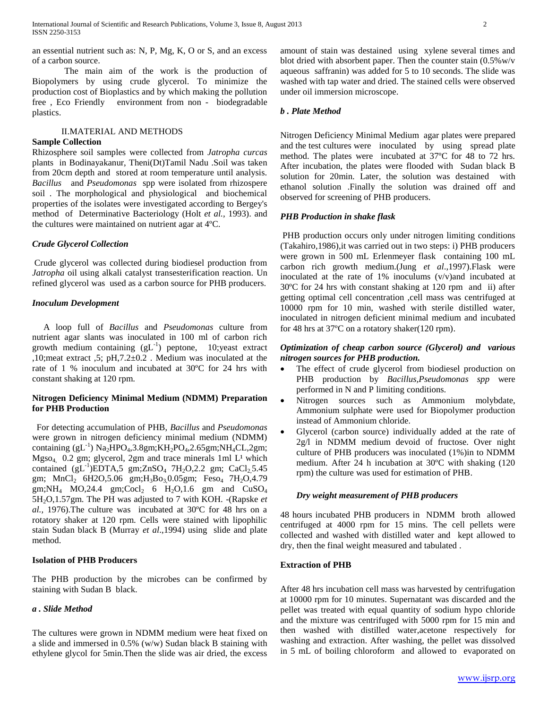an essential nutrient such as: N, P, Mg, K, O or S, and an excess of a carbon source.

The main aim of the work is the production of Biopolymers by using crude glycerol. To minimize the production cost of Bioplastics and by which making the pollution free , Eco Friendly environment from non - biodegradable plastics.

#### II.MATERIAL AND METHODS

#### **Sample Collection**

Rhizosphere soil samples were collected from *Jatropha curcas* plants in Bodinayakanur, Theni(Dt)Tamil Nadu .Soil was taken from 20cm depth and stored at room temperature until analysis. *Bacillus* and *Pseudomonas* spp were isolated from rhizospere soil . The morphological and physiological and biochemical properties of the isolates were investigated according to Bergey's method of Determinative Bacteriology (Holt *et al.,* 1993). and the cultures were maintained on nutrient agar at 4ºC.

#### *Crude Glycerol Collection*

Crude glycerol was collected during biodiesel production from *Jatropha* oil using alkali catalyst transesterification reaction. Un refined glycerol was used as a carbon source for PHB producers.

#### *Inoculum Development*

 A loop full of *Bacillus* and *Pseudomonas* culture from nutrient agar slants was inoculated in 100 ml of carbon rich growth medium containing  $(gL^{-1})$  peptone, 10; yeast extract ,10;meat extract ,5; pH,7.2±0.2 . Medium was inoculated at the rate of 1 % inoculum and incubated at 30ºC for 24 hrs with constant shaking at 120 rpm.

# **Nitrogen Deficiency Minimal Medium (NDMM) Preparation for PHB Production**

 For detecting accumulation of PHB, *Bacillus* and *Pseudomonas*  were grown in nitrogen deficiency minimal medium (NDMM) containing  $(gL^{-1})$  Na<sub>2</sub>HPO<sub>4</sub>,3.8gm;KH<sub>2</sub>PO<sub>4</sub>,2.65gm;NH<sub>4</sub>CL,2gm;  $Mgso<sub>4</sub>$  0.2 gm; glycerol, 2gm and trace minerals 1ml  $L<sup>1</sup>$  which contained  $(gL^{-1})EDTA,5 gm;ZnSO<sub>4</sub> 7H<sub>2</sub>O,2.2 gm; CaCl<sub>2</sub>,5.45$ gm;  $MnCl_2$  6H2O,5.06 gm;  $H_3Bo_3$ 0.05gm; Feso<sub>4</sub> 7H<sub>2</sub>O,4.79 gm;NH<sub>4</sub> MO,24.4 gm;Cocl<sub>2</sub> 6 H<sub>2</sub>O,1.6 gm and CuSO<sub>4</sub> 5H2O,1.57gm. The PH was adjusted to 7 with KOH. -(Rapske *et al.,* 1976).The culture was incubated at 30ºC for 48 hrs on a rotatory shaker at 120 rpm. Cells were stained with lipophilic stain Sudan black B (Murray *et al*.,1994) using slide and plate method.

## **Isolation of PHB Producers**

The PHB production by the microbes can be confirmed by staining with Sudan B black.

#### *a . Slide Method*

The cultures were grown in NDMM medium were heat fixed on a slide and immersed in 0.5% (w/w) Sudan black B staining with ethylene glycol for 5min.Then the slide was air dried, the excess

amount of stain was destained using xylene several times and blot dried with absorbent paper. Then the counter stain  $(0.5\%$  w/v aqueous saffranin) was added for 5 to 10 seconds. The slide was washed with tap water and dried. The stained cells were observed under oil immersion microscope.

#### *b . Plate Method*

Nitrogen Deficiency Minimal Medium agar plates were prepared and the test cultures were inoculated by using spread plate method. The plates were incubated at 37ºC for 48 to 72 hrs. After incubation, the plates were flooded with Sudan black B solution for 20min. Later, the solution was destained with ethanol solution .Finally the solution was drained off and observed for screening of PHB producers.

#### *PHB Production in shake flask*

PHB production occurs only under nitrogen limiting conditions (Takahiro,1986),it was carried out in two steps: i) PHB producers were grown in 500 mL Erlenmeyer flask containing 100 mL carbon rich growth medium.(Jung *et al*.,1997).Flask were inoculated at the rate of 1% inoculums (v/v)and incubated at 30ºC for 24 hrs with constant shaking at 120 rpm and ii) after getting optimal cell concentration ,cell mass was centrifuged at 10000 rpm for 10 min, washed with sterile distilled water, inoculated in nitrogen deficient minimal medium and incubated for 48 hrs at 37ºC on a rotatory shaker(120 rpm).

## *Optimization of cheap carbon source (Glycerol) and various nitrogen sources for PHB production.*

- The effect of crude glycerol from biodiesel production on PHB production by *Bacillus,Pseudomonas spp* were performed in N and P limiting conditions.
- Nitrogen sources such as Ammonium molybdate, Ammonium sulphate were used for Biopolymer production instead of Ammonium chloride.
- Glycerol (carbon source) individually added at the rate of 2g/l in NDMM medium devoid of fructose. Over night culture of PHB producers was inoculated (1%)in to NDMM medium. After 24 h incubation at 30ºC with shaking (120 rpm) the culture was used for estimation of PHB.

#### *Dry weight measurement of PHB producers*

48 hours incubated PHB producers in NDMM broth allowed centrifuged at 4000 rpm for 15 mins. The cell pellets were collected and washed with distilled water and kept allowed to dry, then the final weight measured and tabulated .

#### **Extraction of PHB**

After 48 hrs incubation cell mass was harvested by centrifugation at 10000 rpm for 10 minutes. Supernatant was discarded and the pellet was treated with equal quantity of sodium hypo chloride and the mixture was centrifuged with 5000 rpm for 15 min and then washed with distilled water,acetone respectively for washing and extraction. After washing, the pellet was dissolved in 5 mL of boiling chloroform and allowed to evaporated on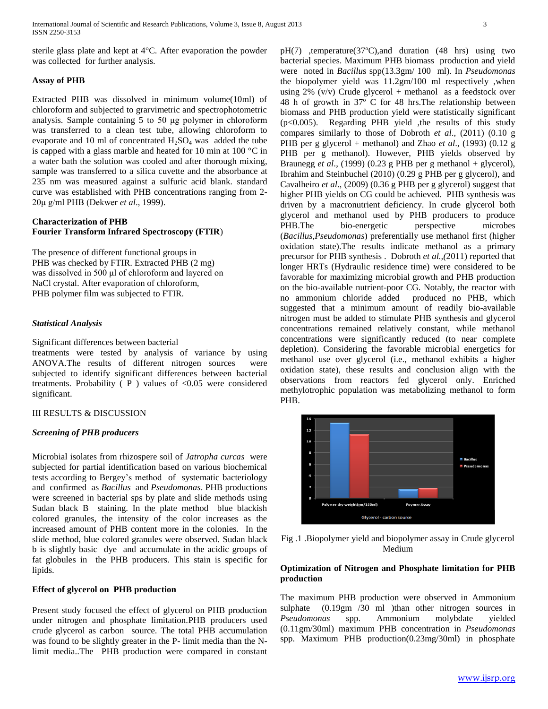sterile glass plate and kept at 4°C. After evaporation the powder was collected for further analysis.

#### **Assay of PHB**

Extracted PHB was dissolved in minimum volume(10ml) of chloroform and subjected to grarvimetric and spectrophotometric analysis. Sample containing 5 to 50 μg polymer in chloroform was transferred to a clean test tube, allowing chloroform to evaporate and 10 ml of concentrated  $H_2SO_4$  was added the tube is capped with a glass marble and heated for 10 min at 100 °C in a water bath the solution was cooled and after thorough mixing, sample was transferred to a silica cuvette and the absorbance at 235 nm was measured against a sulfuric acid blank. standard curve was established with PHB concentrations ranging from 2- 20μ g/ml PHB (Dekwer *et al*., 1999).

# **Characterization of PHB Fourier Transform Infrared Spectroscopy (FTIR**)

The presence of different functional groups in PHB was checked by FTIR. Extracted PHB (2 mg) was dissolved in 500 μl of chloroform and layered on NaCl crystal. After evaporation of chloroform, PHB polymer film was subjected to FTIR.

#### *Statistical Analysis*

Significant differences between bacterial

treatments were tested by analysis of variance by using ANOVA.The results of different nitrogen sources were subjected to identify significant differences between bacterial treatments. Probability ( P ) values of <0.05 were considered significant.

# III RESULTS & DISCUSSION

# *Screening of PHB producers*

Microbial isolates from rhizospere soil of *Jatropha curcas* were subjected for partial identification based on various biochemical tests according to Bergey's method of systematic bacteriology and confirmed as *Bacillus* and *Pseudomonas*. PHB productions were screened in bacterial sps by plate and slide methods using Sudan black B staining. In the plate method blue blackish colored granules, the intensity of the color increases as the increased amount of PHB content more in the colonies. In the slide method, blue colored granules were observed. Sudan black b is slightly basic dye and accumulate in the acidic groups of fat globules in the PHB producers. This stain is specific for lipids.

# **Effect of glycerol on PHB production**

Present study focused the effect of glycerol on PHB production under nitrogen and phosphate limitation.PHB producers used crude glycerol as carbon source. The total PHB accumulation was found to be slightly greater in the P- limit media than the Nlimit media..The PHB production were compared in constant pH(7) ,temperature(37ºC),and duration (48 hrs) using two bacterial species. Maximum PHB biomass production and yield were noted in *Bacillu*s spp(13.3gm/ 100 ml). In *Pseudomonas* the biopolymer yield was 11.2gm/100 ml respectively ,when using  $2\%$  (v/v) Crude glycerol + methanol as a feedstock over 48 h of growth in 37º C for 48 hrs.The relationship between biomass and PHB production yield were statistically significant (p<0.005). Regarding PHB yield ,the results of this study compares similarly to those of Dobroth *et al*., (2011) (0.10 g PHB per g glycerol + methanol) and Zhao *et al*., (1993) (0.12 g PHB per g methanol). However, PHB yields observed by Braunegg *et al*., (1999) (0.23 g PHB per g methanol + glycerol), Ibrahim and Steinbuchel (2010) (0.29 g PHB per g glycerol), and Cavalheiro *et al*., (2009) (0.36 g PHB per g glycerol) suggest that higher PHB yields on CG could be achieved. PHB synthesis was driven by a macronutrient deficiency. In crude glycerol both glycerol and methanol used by PHB producers to produce PHB.The bio-energetic perspective microbes (*Bacillus,Pseudomonas*) preferentially use methanol first (higher oxidation state).The results indicate methanol as a primary precursor for PHB synthesis . Dobroth *et al.,(*2011) reported that longer HRTs (Hydraulic residence time) were considered to be favorable for maximizing microbial growth and PHB production on the bio-available nutrient-poor CG. Notably, the reactor with no ammonium chloride added produced no PHB, which suggested that a minimum amount of readily bio-available nitrogen must be added to stimulate PHB synthesis and glycerol concentrations remained relatively constant, while methanol concentrations were significantly reduced (to near complete depletion). Considering the favorable microbial energetics for methanol use over glycerol (i.e., methanol exhibits a higher oxidation state), these results and conclusion align with the observations from reactors fed glycerol only. Enriched methylotrophic population was metabolizing methanol to form PHB.





# **Optimization of Nitrogen and Phosphate limitation for PHB production**

The maximum PHB production were observed in Ammonium sulphate (0.19gm /30 ml )than other nitrogen sources in *Pseudomonas* spp. Ammonium molybdate yielded (0.11gm/30ml) maximum PHB concentration in *Pseudomonas*  spp. Maximum PHB production(0.23mg/30ml) in phosphate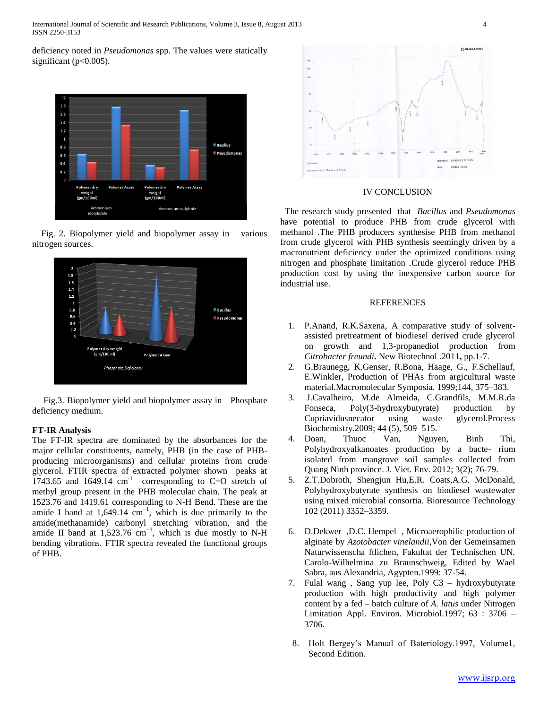International Journal of Scientific and Research Publications, Volume 3, Issue 8, August 2013 4 ISSN 2250-3153

deficiency noted in *Pseudomonas* spp. The values were statically significant ( $p<0.005$ ).



Fig. 2. Biopolymer yield and biopolymer assay in various nitrogen sources.



Fig.3. Biopolymer yield and biopolymer assay in Phosphate deficiency medium.

#### **FT-IR Analysis**

The FT-IR spectra are dominated by the absorbances for the major cellular constituents, namely, PHB (in the case of PHBproducing microorganisms) and cellular proteins from crude glycerol. FTIR spectra of extracted polymer shown peaks at 1743.65 and  $1649.14$  cm<sup>-1</sup> corresponding to C=O stretch of methyl group present in the PHB molecular chain. The peak at 1523.76 and 1419.61 corresponding to N-H Bend. These are the amide I band at  $1,649.14 \text{ cm}^{-1}$ , which is due primarily to the amide(methanamide) carbonyl stretching vibration, and the amide II band at  $1,523.76$  cm<sup>-1</sup>, which is due mostly to N-H bending vibrations. FTIR spectra revealed the functional groups of PHB.



#### IV CONCLUSION

 The research study presented that *Bacillus* and *Pseudomonas* have potential to produce PHB from crude glycerol with methanol .The PHB producers synthesise PHB from methanol from crude glycerol with PHB synthesis seemingly driven by a macronutrient deficiency under the optimized conditions using nitrogen and phosphate limitation .Crude glycerol reduce PHB production cost by using the inexpensive carbon source for industrial use.

#### **REFERENCES**

- 1. P.Anand, R.K.Saxena, A comparative study of solventassisted pretreatment of biodiesel derived crude glycerol on growth and 1,3-propanediol production from *Citrobacter freundi***.** New Biotechnol .2011**,** pp.1-7.
- 2. G.Braunegg, K.Genser, R.Bona, Haage, G., F.Schellauf, E.Winkler, Production of PHAs from argicultural waste material.Macromolecular Symposia. 1999;144, 375–383.
- 3. J.Cavalheiro, M.de Almeida, C.Grandfils, M.M.R.da Fonseca, Poly(3-hydroxybutyrate) production by Cupriavidusnecator using waste glycerol.Process Biochemistry.2009; 44 (5), 509–515.
- 4. Doan, Thuoc Van, Nguyen, Binh Thi, Polyhydroxyalkanoates production by a bacte- rium isolated from mangrove soil samples collected from Quang Ninh province. J. Viet. Env. 2012; 3(2); 76-79.
- 5. Z.T.Dobroth, Shengjun Hu,E.R. Coats,A.G. McDonald, Polyhydroxybutyrate synthesis on biodiesel wastewater using mixed microbial consortia. Bioresource Technology 102 (2011) 3352–3359.
- 6. D.Dekwer ,D.C. Hempel , Microaerophilic production of alginate by *Azotobacter vinelandii*,Von der Gemeinsamen Naturwissenscha ftlichen, Fakultat der Technischen UN. Carolo-Wilhelmina zu Braunschweig, Edited by Wael Sabra, aus Alexandria, Agypten.1999: 37-54.
- 7. Fulal wang , Sang yup lee, Poly C3 hydroxybutyrate production with high productivity and high polymer content by a fed – batch culture of *A. latus* under Nitrogen Limitation Appl. Environ. Microbiol.1997; 63 : 3706 – 3706.
- 8. Holt Bergey's Manual of Bateriology.1997, Volume1, Second Edition.